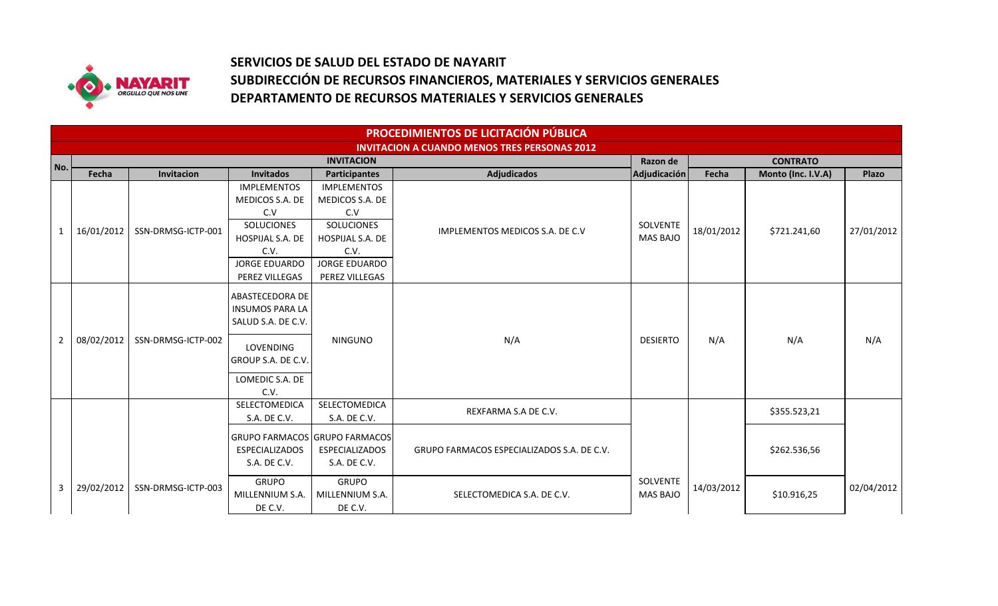

## **SERVICIOS DE SALUD DEL ESTADO DE NAYARIT SUBDIRECCIÓN DE RECURSOS FINANCIEROS, MATERIALES Y SERVICIOS GENERALES DEPARTAMENTO DE RECURSOS MATERIALES Y SERVICIOS GENERALES**

|                | PROCEDIMIENTOS DE LICITACIÓN PÚBLICA                |                    |                         |                               |                                            |                 |                             |                    |              |  |
|----------------|-----------------------------------------------------|--------------------|-------------------------|-------------------------------|--------------------------------------------|-----------------|-----------------------------|--------------------|--------------|--|
|                | <b>INVITACION A CUANDO MENOS TRES PERSONAS 2012</b> |                    |                         |                               |                                            |                 |                             |                    |              |  |
| l No.          |                                                     |                    |                         | <b>INVITACION</b>             |                                            |                 | <b>CONTRATO</b><br>Razon de |                    |              |  |
|                | Fecha                                               | Invitacion         | <b>Invitados</b>        | <b>Participantes</b>          | <b>Adjudicados</b>                         | Adjudicación    | Fecha                       | Monto (Inc. I.V.A) | <b>Plazo</b> |  |
|                |                                                     |                    | <b>IMPLEMENTOS</b>      | <b>IMPLEMENTOS</b>            |                                            |                 |                             |                    |              |  |
|                |                                                     |                    | MEDICOS S.A. DE         | MEDICOS S.A. DE               |                                            |                 |                             |                    |              |  |
|                |                                                     |                    | C.V                     | C.V                           |                                            |                 |                             |                    |              |  |
| 1              | 16/01/2012                                          | SSN-DRMSG-ICTP-001 | <b>SOLUCIONES</b>       | <b>SOLUCIONES</b>             | IMPLEMENTOS MEDICOS S.A. DE C.V            | SOLVENTE        | 18/01/2012                  | \$721.241,60       | 27/01/2012   |  |
|                |                                                     |                    | HOSPIJAL S.A. DE        | HOSPIJAL S.A. DE              |                                            | <b>MAS BAJO</b> |                             |                    |              |  |
|                |                                                     |                    | C.V.                    | C.V.                          |                                            |                 |                             |                    |              |  |
|                |                                                     |                    | <b>JORGE EDUARDO</b>    | <b>JORGE EDUARDO</b>          |                                            |                 |                             |                    |              |  |
|                |                                                     |                    | PEREZ VILLEGAS          | PEREZ VILLEGAS                |                                            |                 |                             |                    |              |  |
|                |                                                     |                    | ABASTECEDORA DE         |                               |                                            |                 |                             |                    |              |  |
|                |                                                     |                    | <b>INSUMOS PARA LA</b>  |                               |                                            |                 |                             |                    |              |  |
|                |                                                     |                    | SALUD S.A. DE C.V.      |                               |                                            |                 |                             |                    |              |  |
|                |                                                     |                    |                         |                               |                                            |                 |                             |                    |              |  |
| $\overline{2}$ | 08/02/2012                                          | SSN-DRMSG-ICTP-002 | <b>LOVENDING</b>        | <b>NINGUNO</b>                | N/A                                        | <b>DESIERTO</b> | N/A                         | N/A                | N/A          |  |
|                |                                                     |                    | GROUP S.A. DE C.V.      |                               |                                            |                 |                             |                    |              |  |
|                |                                                     |                    |                         |                               |                                            |                 |                             |                    |              |  |
|                |                                                     |                    | LOMEDIC S.A. DE<br>C.V. |                               |                                            |                 |                             |                    |              |  |
|                |                                                     |                    | <b>SELECTOMEDICA</b>    | SELECTOMEDICA                 |                                            |                 |                             |                    |              |  |
|                |                                                     |                    | S.A. DE C.V.            | S.A. DE C.V.                  | REXFARMA S.A DE C.V.                       |                 |                             | \$355.523,21       |              |  |
|                |                                                     |                    |                         |                               |                                            |                 |                             |                    |              |  |
|                |                                                     |                    |                         | GRUPO FARMACOS GRUPO FARMACOS |                                            |                 |                             |                    |              |  |
|                |                                                     |                    | <b>ESPECIALIZADOS</b>   | <b>ESPECIALIZADOS</b>         | GRUPO FARMACOS ESPECIALIZADOS S.A. DE C.V. |                 |                             | \$262.536,56       |              |  |
|                |                                                     |                    | S.A. DE C.V.            | S.A. DE C.V.                  |                                            |                 |                             |                    |              |  |
|                |                                                     |                    | <b>GRUPO</b>            | <b>GRUPO</b>                  |                                            | SOLVENTE        |                             |                    |              |  |
| 3              | 29/02/2012                                          | SSN-DRMSG-ICTP-003 | MILLENNIUM S.A.         | MILLENNIUM S.A.               | SELECTOMEDICA S.A. DE C.V.                 | <b>MAS BAJO</b> | 14/03/2012                  | \$10.916,25        | 02/04/2012   |  |
|                |                                                     |                    | DE C.V.                 | DE C.V.                       |                                            |                 |                             |                    |              |  |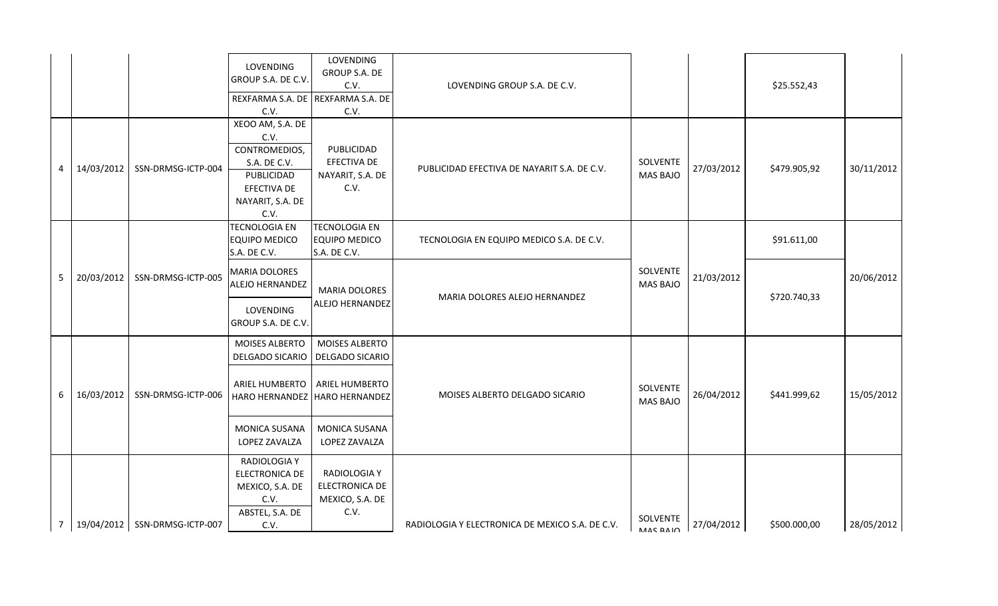|   |             |                                 | LOVENDING<br>GROUP S.A. DE C.V.                                                                                    | LOVENDING<br><b>GROUP S.A. DE</b>                                |                                                 |                             |            |              |            |
|---|-------------|---------------------------------|--------------------------------------------------------------------------------------------------------------------|------------------------------------------------------------------|-------------------------------------------------|-----------------------------|------------|--------------|------------|
|   |             |                                 | REXFARMA S.A. DE<br>C.V.                                                                                           | C.V.<br>REXFARMA S.A. DE<br>C.V.                                 | LOVENDING GROUP S.A. DE C.V.                    |                             |            | \$25.552,43  |            |
| 4 | 14/03/2012  | SSN-DRMSG-ICTP-004              | XEOO AM, S.A. DE<br>C.V.<br>CONTROMEDIOS,<br>S.A. DE C.V.<br>PUBLICIDAD<br>EFECTIVA DE<br>NAYARIT, S.A. DE<br>C.V. | PUBLICIDAD<br>EFECTIVA DE<br>NAYARIT, S.A. DE<br>C.V.            | PUBLICIDAD EFECTIVA DE NAYARIT S.A. DE C.V.     | SOLVENTE<br><b>MAS BAJO</b> | 27/03/2012 | \$479.905,92 | 30/11/2012 |
| 5 |             |                                 | <b>TECNOLOGIA EN</b><br><b>EQUIPO MEDICO</b><br>S.A. DE C.V.                                                       | <b>TECNOLOGIA EN</b><br><b>EQUIPO MEDICO</b><br>S.A. DE C.V.     | TECNOLOGIA EN EQUIPO MEDICO S.A. DE C.V.        |                             | 21/03/2012 | \$91.611,00  | 20/06/2012 |
|   | 20/03/2012  | SSN-DRMSG-ICTP-005              | <b>MARIA DOLORES</b><br>ALEJO HERNANDEZ                                                                            | <b>MARIA DOLORES</b><br>ALEJO HERNANDEZ                          | MARIA DOLORES ALEJO HERNANDEZ                   | SOLVENTE<br><b>MAS BAJO</b> |            | \$720.740,33 |            |
|   |             |                                 | LOVENDING<br>GROUP S.A. DE C.V.                                                                                    |                                                                  |                                                 |                             |            |              |            |
|   |             |                                 | MOISES ALBERTO<br>DELGADO SICARIO                                                                                  | MOISES ALBERTO<br><b>DELGADO SICARIO</b>                         |                                                 |                             |            |              |            |
| 6 | 16/03/2012  | SSN-DRMSG-ICTP-006              | ARIEL HUMBERTO<br>HARO HERNANDEZ                                                                                   | ARIEL HUMBERTO<br><b>HARO HERNANDEZ</b>                          | MOISES ALBERTO DELGADO SICARIO                  | SOLVENTE<br><b>MAS BAJO</b> | 26/04/2012 | \$441.999,62 | 15/05/2012 |
|   |             |                                 | MONICA SUSANA<br>LOPEZ ZAVALZA                                                                                     | MONICA SUSANA<br>LOPEZ ZAVALZA                                   |                                                 |                             |            |              |            |
|   |             |                                 | RADIOLOGIA Y<br><b>ELECTRONICA DE</b><br>MEXICO, S.A. DE<br>C.V.<br>ABSTEL, S.A. DE                                | <b>RADIOLOGIA Y</b><br>ELECTRONICA DE<br>MEXICO, S.A. DE<br>C.V. |                                                 |                             |            |              |            |
|   | $7^{\circ}$ | 19/04/2012   SSN-DRMSG-ICTP-007 | C.V.                                                                                                               |                                                                  | RADIOLOGIA Y ELECTRONICA DE MEXICO S.A. DE C.V. | SOLVENTE                    |            | \$500.000,00 | 28/05/2012 |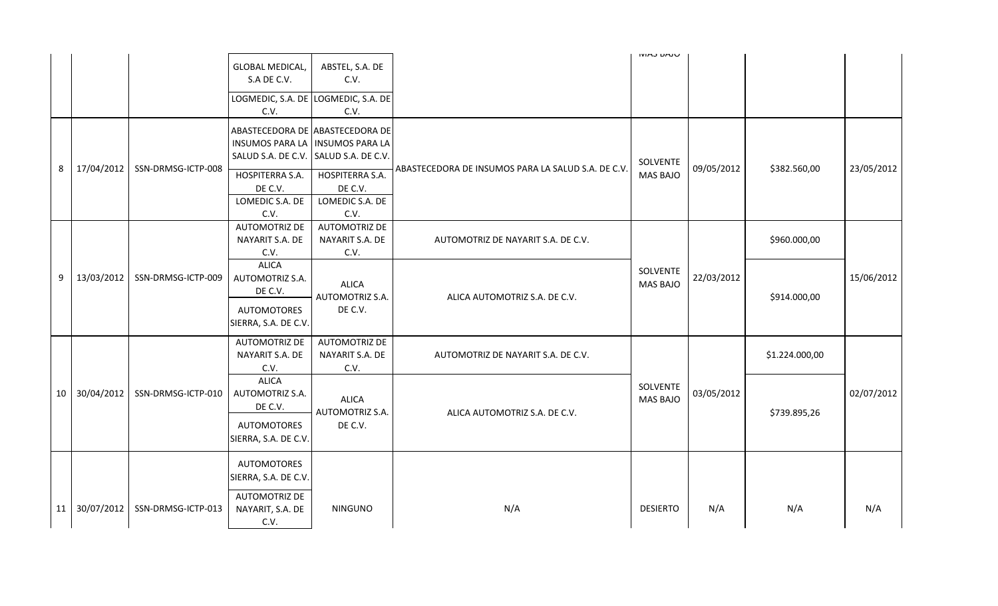|                 |                                                                                                                          |                               |                                                                                                                         |                                                                                                                       |                                                    | טנחט נחואו                  |            |                |            |
|-----------------|--------------------------------------------------------------------------------------------------------------------------|-------------------------------|-------------------------------------------------------------------------------------------------------------------------|-----------------------------------------------------------------------------------------------------------------------|----------------------------------------------------|-----------------------------|------------|----------------|------------|
|                 |                                                                                                                          |                               | <b>GLOBAL MEDICAL,</b><br>S.A DE C.V.                                                                                   | ABSTEL, S.A. DE<br>C.V.                                                                                               |                                                    |                             |            |                |            |
|                 |                                                                                                                          |                               | C.V.                                                                                                                    | LOGMEDIC, S.A. DE LOGMEDIC, S.A. DE<br>C.V.                                                                           |                                                    |                             |            |                |            |
| 8               | 17/04/2012                                                                                                               | SSN-DRMSG-ICTP-008            | INSUMOS PARA LA   INSUMOS PARA LA<br>SALUD S.A. DE C.V.<br><b>HOSPITERRA S.A.</b><br>DE C.V.<br>LOMEDIC S.A. DE<br>C.V. | ABASTECEDORA DE ABASTECEDORA DE<br>SALUD S.A. DE C.V.<br><b>HOSPITERRA S.A.</b><br>DE C.V.<br>LOMEDIC S.A. DE<br>C.V. | ABASTECEDORA DE INSUMOS PARA LA SALUD S.A. DE C.V. | SOLVENTE<br><b>MAS BAJO</b> | 09/05/2012 | \$382.560,00   | 23/05/2012 |
|                 |                                                                                                                          |                               | <b>AUTOMOTRIZ DE</b><br>NAYARIT S.A. DE<br>C.V.                                                                         | <b>AUTOMOTRIZ DE</b><br>NAYARIT S.A. DE<br>C.V.                                                                       | AUTOMOTRIZ DE NAYARIT S.A. DE C.V.                 |                             |            | \$960.000,00   |            |
| 9               | 13/03/2012                                                                                                               | SSN-DRMSG-ICTP-009            | <b>ALICA</b><br><b>AUTOMOTRIZ S.A.</b><br>DE C.V.                                                                       | <b>ALICA</b><br><b>AUTOMOTRIZ S.A.</b>                                                                                | ALICA AUTOMOTRIZ S.A. DE C.V.                      | SOLVENTE<br><b>MAS BAJO</b> | 22/03/2012 | \$914.000,00   | 15/06/2012 |
|                 |                                                                                                                          |                               | <b>AUTOMOTORES</b><br>SIERRA, S.A. DE C.V.                                                                              | DE C.V.                                                                                                               |                                                    |                             |            |                |            |
|                 |                                                                                                                          |                               | <b>AUTOMOTRIZ DE</b><br>NAYARIT S.A. DE<br>C.V.                                                                         | <b>AUTOMOTRIZ DE</b><br>NAYARIT S.A. DE<br>C.V.                                                                       | AUTOMOTRIZ DE NAYARIT S.A. DE C.V.                 |                             |            | \$1.224.000,00 |            |
| 10 <sup>1</sup> | <b>ALICA</b><br>30/04/2012<br>SSN-DRMSG-ICTP-010<br>AUTOMOTRIZ S.A.<br><b>ALICA</b><br>DE C.V.<br><b>AUTOMOTRIZ S.A.</b> | ALICA AUTOMOTRIZ S.A. DE C.V. | SOLVENTE<br><b>MAS BAJO</b>                                                                                             | 03/05/2012                                                                                                            | \$739.895,26                                       | 02/07/2012                  |            |                |            |
|                 |                                                                                                                          |                               | <b>AUTOMOTORES</b><br>SIERRA, S.A. DE C.V.                                                                              | DE C.V.                                                                                                               |                                                    |                             |            |                |            |
|                 |                                                                                                                          |                               | <b>AUTOMOTORES</b><br>SIERRA, S.A. DE C.V.                                                                              |                                                                                                                       |                                                    |                             |            |                |            |
| 11              | 30/07/2012                                                                                                               | SSN-DRMSG-ICTP-013            | <b>AUTOMOTRIZ DE</b><br>NAYARIT, S.A. DE<br>C.V.                                                                        | <b>NINGUNO</b>                                                                                                        | N/A                                                | <b>DESIERTO</b>             | N/A        | N/A            | N/A        |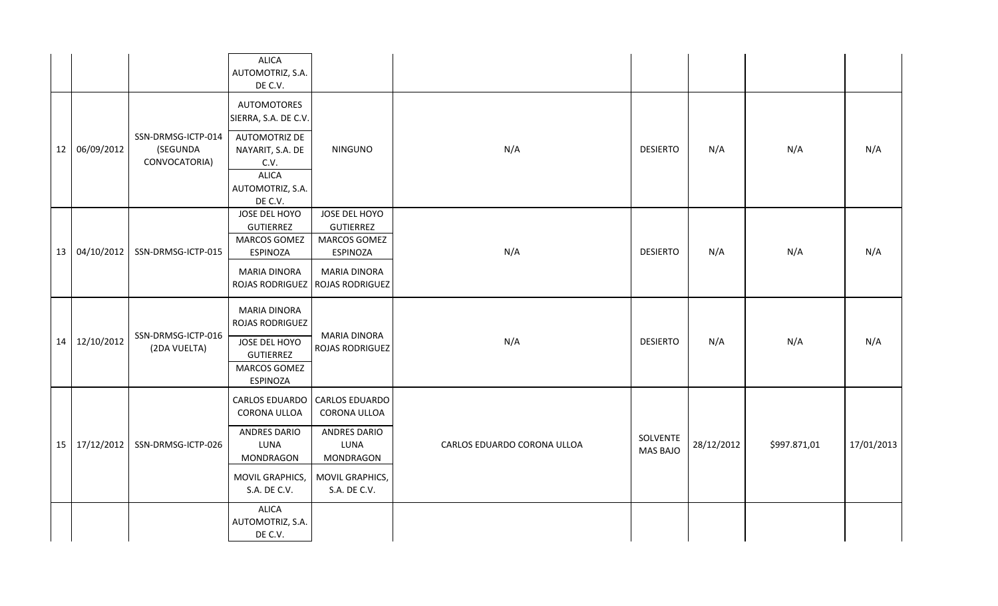|                                                                                                                                                     |    |                             |                                                 | <b>ALICA</b><br>AUTOMOTRIZ, S.A.<br>DE C.V.                                                                           |                                                                      |     |                 |     |     |     |
|-----------------------------------------------------------------------------------------------------------------------------------------------------|----|-----------------------------|-------------------------------------------------|-----------------------------------------------------------------------------------------------------------------------|----------------------------------------------------------------------|-----|-----------------|-----|-----|-----|
|                                                                                                                                                     |    |                             |                                                 | AUTOMOTORES<br>SIERRA, S.A. DE C.V.                                                                                   |                                                                      |     |                 |     |     |     |
|                                                                                                                                                     | 12 | 06/09/2012                  | SSN-DRMSG-ICTP-014<br>(SEGUNDA<br>CONVOCATORIA) | <b>AUTOMOTRIZ DE</b><br>NAYARIT, S.A. DE<br>C.V.<br><b>ALICA</b><br>AUTOMOTRIZ, S.A.<br>DE C.V.                       | <b>NINGUNO</b>                                                       | N/A | <b>DESIERTO</b> | N/A | N/A | N/A |
|                                                                                                                                                     | 13 | 04/10/2012                  | SSN-DRMSG-ICTP-015                              | JOSE DEL HOYO<br><b>GUTIERREZ</b><br>MARCOS GOMEZ<br><b>ESPINOZA</b>                                                  | JOSE DEL HOYO<br><b>GUTIERREZ</b><br>MARCOS GOMEZ<br><b>ESPINOZA</b> | N/A | <b>DESIERTO</b> | N/A | N/A | N/A |
|                                                                                                                                                     |    |                             |                                                 | <b>MARIA DINORA</b><br>ROJAS RODRIGUEZ                                                                                | <b>MARIA DINORA</b><br><b>ROJAS RODRIGUEZ</b>                        |     |                 |     |     |     |
|                                                                                                                                                     | 14 | 12/10/2012                  | SSN-DRMSG-ICTP-016<br>(2DA VUELTA)              | <b>MARIA DINORA</b><br>ROJAS RODRIGUEZ<br>JOSE DEL HOYO<br><b>GUTIERREZ</b><br><b>MARCOS GOMEZ</b><br><b>ESPINOZA</b> | <b>MARIA DINORA</b><br><b>ROJAS RODRIGUEZ</b>                        | N/A | <b>DESIERTO</b> | N/A | N/A | N/A |
|                                                                                                                                                     |    |                             |                                                 | CARLOS EDUARDO<br><b>CORONA ULLOA</b>                                                                                 | CARLOS EDUARDO<br>CORONA ULLOA                                       |     |                 |     |     |     |
| <b>ANDRES DARIO</b><br>ANDRES DARIO<br>15 17/12/2012<br>SSN-DRMSG-ICTP-026<br>CARLOS EDUARDO CORONA ULLOA<br>LUNA<br>LUNA<br>MONDRAGON<br>MONDRAGON |    | SOLVENTE<br><b>MAS BAJO</b> | 28/12/2012                                      | \$997.871,01                                                                                                          | 17/01/2013                                                           |     |                 |     |     |     |
|                                                                                                                                                     |    |                             |                                                 | MOVIL GRAPHICS,<br>S.A. DE C.V.                                                                                       | MOVIL GRAPHICS,<br>S.A. DE C.V.                                      |     |                 |     |     |     |
|                                                                                                                                                     |    |                             |                                                 | <b>ALICA</b><br>AUTOMOTRIZ, S.A.<br>DE C.V.                                                                           |                                                                      |     |                 |     |     |     |